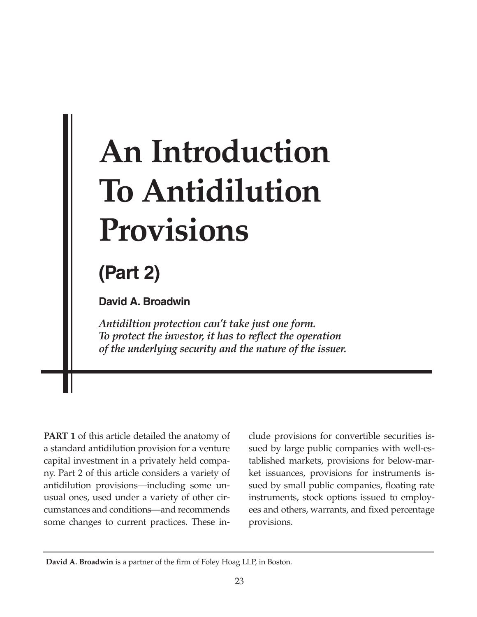# **An Introduction To Antidilution Provisions**

# **(Part 2)**

**David A. Broadwin**

*Antidiltion protection can't take just one form. To protect the investor, it has to reflect the operation of the underlying security and the nature of the issuer.*

**PART 1** of this article detailed the anatomy of a standard antidilution provision for a venture capital investment in a privately held company. Part 2 of this article considers a variety of antidilution provisions—including some unusual ones, used under a variety of other circumstances and conditions—and recommends some changes to current practices. These in-

clude provisions for convertible securities issued by large public companies with well-established markets, provisions for below-market issuances, provisions for instruments issued by small public companies, floating rate instruments, stock options issued to employees and others, warrants, and fixed percentage provisions.

**David A. Broadwin** is a partner of the firm of Foley Hoag LLP, in Boston.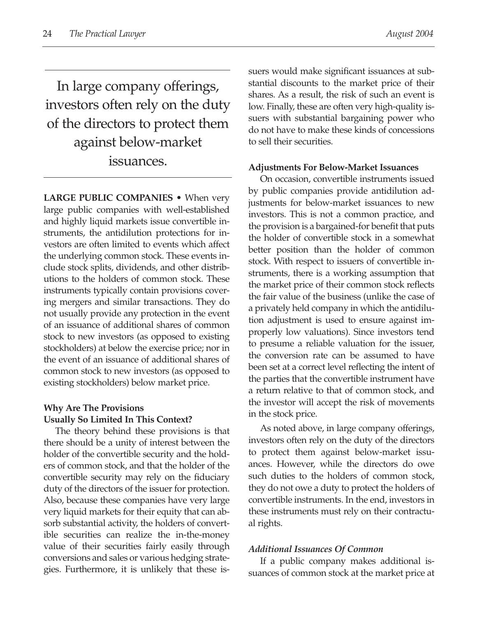In large company offerings, investors often rely on the duty of the directors to protect them against below-market issuances.

**LARGE PUBLIC COMPANIES** • When very large public companies with well-established and highly liquid markets issue convertible instruments, the antidilution protections for investors are often limited to events which affect the underlying common stock. These events include stock splits, dividends, and other distributions to the holders of common stock. These instruments typically contain provisions covering mergers and similar transactions. They do not usually provide any protection in the event of an issuance of additional shares of common stock to new investors (as opposed to existing stockholders) at below the exercise price; nor in the event of an issuance of additional shares of common stock to new investors (as opposed to existing stockholders) below market price.

# **Why Are The Provisions Usually So Limited In This Context?**

The theory behind these provisions is that there should be a unity of interest between the holder of the convertible security and the holders of common stock, and that the holder of the convertible security may rely on the fiduciary duty of the directors of the issuer for protection. Also, because these companies have very large very liquid markets for their equity that can absorb substantial activity, the holders of convertible securities can realize the in-the-money value of their securities fairly easily through conversions and sales or various hedging strategies. Furthermore, it is unlikely that these issuers would make significant issuances at substantial discounts to the market price of their shares. As a result, the risk of such an event is low. Finally, these are often very high-quality issuers with substantial bargaining power who do not have to make these kinds of concessions to sell their securities.

#### **Adjustments For Below-Market Issuances**

On occasion, convertible instruments issued by public companies provide antidilution adjustments for below-market issuances to new investors. This is not a common practice, and the provision is a bargained-for benefit that puts the holder of convertible stock in a somewhat better position than the holder of common stock. With respect to issuers of convertible instruments, there is a working assumption that the market price of their common stock reflects the fair value of the business (unlike the case of a privately held company in which the antidilution adjustment is used to ensure against improperly low valuations). Since investors tend to presume a reliable valuation for the issuer, the conversion rate can be assumed to have been set at a correct level reflecting the intent of the parties that the convertible instrument have a return relative to that of common stock, and the investor will accept the risk of movements in the stock price.

As noted above, in large company offerings, investors often rely on the duty of the directors to protect them against below-market issuances. However, while the directors do owe such duties to the holders of common stock, they do not owe a duty to protect the holders of convertible instruments. In the end, investors in these instruments must rely on their contractual rights.

# *Additional Issuances Of Common*

If a public company makes additional issuances of common stock at the market price at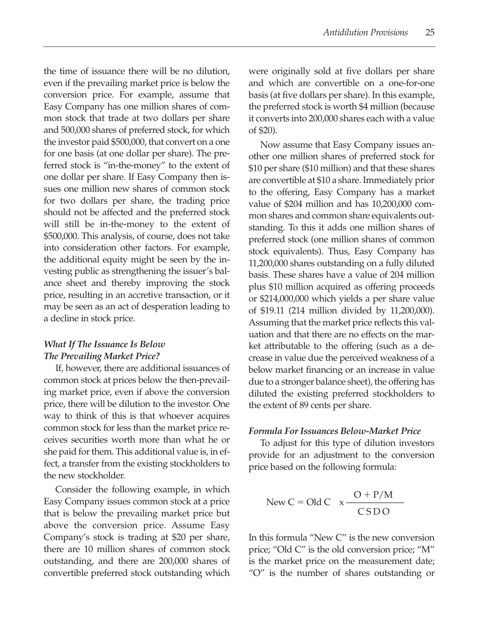the time of issuance there will be no dilution, even if the prevailing market price is below the conversion price. For example, assume that Easy Company has one million shares of common stock that trade at two dollars per share and 500,000 shares of preferred stock, for which the investor paid \$500,000, that convert on a one for one basis (at one dollar per share). The preferred stock is "in-the-money" to the extent of one dollar per share. If Easy Company then issues one million new shares of common stock for two dollars per share, the trading price should not be affected and the preferred stock will still be in-the-money to the extent of \$500,000. This analysis, of course, does not take into consideration other factors. For example, the additional equity might be seen by the investing public as strengthening the issuer's balance sheet and thereby improving the stock price, resulting in an accretive transaction, or it may be seen as an act of desperation leading to a decline in stock price.

# *What If The Issuance Is Below The Prevailing Market Price?*

If, however, there are additional issuances of common stock at prices below the then-prevailing market price, even if above the conversion price, there will be dilution to the investor. One way to think of this is that whoever acquires common stock for less than the market price receives securities worth more than what he or she paid for them. This additional value is, in effect, a transfer from the existing stockholders to the new stockholder.

Consider the following example, in which Easy Company issues common stock at a price that is below the prevailing market price but above the conversion price. Assume Easy Company's stock is trading at \$20 per share, there are 10 million shares of common stock outstanding, and there are 200,000 shares of convertible preferred stock outstanding which were originally sold at five dollars per share and which are convertible on a one-for-one basis (at five dollars per share). In this example, the preferred stock is worth \$4 million (because it converts into 200,000 shares each with a value of \$20).

Now assume that Easy Company issues another one million shares of preferred stock for \$10 per share (\$10 million) and that these shares are convertible at \$10 a share. Immediately prior to the offering, Easy Company has a market value of \$204 million and has 10,200,000 common shares and common share equivalents outstanding. To this it adds one million shares of preferred stock (one million shares of common stock equivalents). Thus, Easy Company has 11,200,000 shares outstanding on a fully diluted basis. These shares have a value of 204 million plus \$10 million acquired as offering proceeds or \$214,000,000 which yields a per share value of \$19.11 (214 million divided by 11,200,000). Assuming that the market price reflects this valuation and that there are no effects on the market attributable to the offering (such as a decrease in value due the perceived weakness of a below market financing or an increase in value due to a stronger balance sheet), the offering has diluted the existing preferred stockholders to the extent of 89 cents per share.

# *Formula For Issuances Below-Market Price*

To adjust for this type of dilution investors provide for an adjustment to the conversion price based on the following formula:

$$
New C = Old C \quad x \frac{O + P/M}{CSD O}
$$

In this formula "New C" is the new conversion price; "Old C" is the old conversion price; "M" is the market price on the measurement date; "O" is the number of shares outstanding or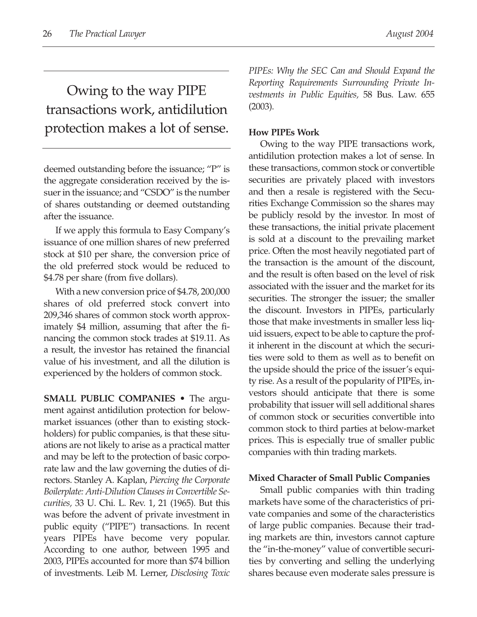Owing to the way PIPE transactions work, antidilution protection makes a lot of sense.

deemed outstanding before the issuance; "P" is the aggregate consideration received by the issuer in the issuance; and "CSDO" is the number of shares outstanding or deemed outstanding after the issuance.

If we apply this formula to Easy Company's issuance of one million shares of new preferred stock at \$10 per share, the conversion price of the old preferred stock would be reduced to \$4.78 per share (from five dollars).

With a new conversion price of \$4.78, 200,000 shares of old preferred stock convert into 209,346 shares of common stock worth approximately \$4 million, assuming that after the financing the common stock trades at \$19.11. As a result, the investor has retained the financial value of his investment, and all the dilution is experienced by the holders of common stock.

**SMALL PUBLIC COMPANIES •** The argument against antidilution protection for belowmarket issuances (other than to existing stockholders) for public companies, is that these situations are not likely to arise as a practical matter and may be left to the protection of basic corporate law and the law governing the duties of directors. Stanley A. Kaplan, *Piercing the Corporate Boilerplate: Anti-Dilution Clauses in Convertible Securities,* 33 U. Chi. L. Rev. 1, 21 (1965). But this was before the advent of private investment in public equity ("PIPE") transactions. In recent years PIPEs have become very popular. According to one author, between 1995 and 2003, PIPEs accounted for more than \$74 billion of investments. Leib M. Lerner, *Disclosing Toxic* *PIPEs: Why the SEC Can and Should Expand the Reporting Requirements Surrounding Private Investments in Public Equities,* 58 Bus. Law. 655 (2003).

# **How PIPEs Work**

Owing to the way PIPE transactions work, antidilution protection makes a lot of sense. In these transactions, common stock or convertible securities are privately placed with investors and then a resale is registered with the Securities Exchange Commission so the shares may be publicly resold by the investor. In most of these transactions, the initial private placement is sold at a discount to the prevailing market price. Often the most heavily negotiated part of the transaction is the amount of the discount, and the result is often based on the level of risk associated with the issuer and the market for its securities. The stronger the issuer; the smaller the discount. Investors in PIPEs, particularly those that make investments in smaller less liquid issuers, expect to be able to capture the profit inherent in the discount at which the securities were sold to them as well as to benefit on the upside should the price of the issuer's equity rise. As a result of the popularity of PIPEs, investors should anticipate that there is some probability that issuer will sell additional shares of common stock or securities convertible into common stock to third parties at below-market prices. This is especially true of smaller public companies with thin trading markets.

# **Mixed Character of Small Public Companies**

Small public companies with thin trading markets have some of the characteristics of private companies and some of the characteristics of large public companies. Because their trading markets are thin, investors cannot capture the "in-the-money" value of convertible securities by converting and selling the underlying shares because even moderate sales pressure is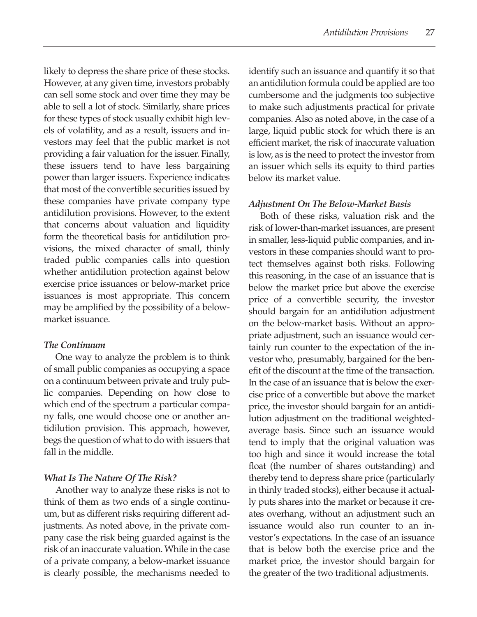likely to depress the share price of these stocks. However, at any given time, investors probably can sell some stock and over time they may be able to sell a lot of stock. Similarly, share prices for these types of stock usually exhibit high levels of volatility, and as a result, issuers and investors may feel that the public market is not providing a fair valuation for the issuer. Finally, these issuers tend to have less bargaining power than larger issuers. Experience indicates that most of the convertible securities issued by these companies have private company type antidilution provisions. However, to the extent that concerns about valuation and liquidity form the theoretical basis for antidilution provisions, the mixed character of small, thinly traded public companies calls into question whether antidilution protection against below exercise price issuances or below-market price issuances is most appropriate. This concern may be amplified by the possibility of a belowmarket issuance.

# *The Continuum*

One way to analyze the problem is to think of small public companies as occupying a space on a continuum between private and truly public companies. Depending on how close to which end of the spectrum a particular company falls, one would choose one or another antidilution provision. This approach, however, begs the question of what to do with issuers that fall in the middle.

# *What Is The Nature Of The Risk?*

Another way to analyze these risks is not to think of them as two ends of a single continuum, but as different risks requiring different adjustments. As noted above, in the private company case the risk being guarded against is the risk of an inaccurate valuation. While in the case of a private company, a below-market issuance is clearly possible, the mechanisms needed to identify such an issuance and quantify it so that an antidilution formula could be applied are too cumbersome and the judgments too subjective to make such adjustments practical for private companies. Also as noted above, in the case of a large, liquid public stock for which there is an efficient market, the risk of inaccurate valuation is low, as is the need to protect the investor from an issuer which sells its equity to third parties below its market value.

# *Adjustment On The Below-Market Basis*

Both of these risks, valuation risk and the risk of lower-than-market issuances, are present in smaller, less-liquid public companies, and investors in these companies should want to protect themselves against both risks. Following this reasoning, in the case of an issuance that is below the market price but above the exercise price of a convertible security, the investor should bargain for an antidilution adjustment on the below-market basis. Without an appropriate adjustment, such an issuance would certainly run counter to the expectation of the investor who, presumably, bargained for the benefit of the discount at the time of the transaction. In the case of an issuance that is below the exercise price of a convertible but above the market price, the investor should bargain for an antidilution adjustment on the traditional weightedaverage basis. Since such an issuance would tend to imply that the original valuation was too high and since it would increase the total float (the number of shares outstanding) and thereby tend to depress share price (particularly in thinly traded stocks), either because it actually puts shares into the market or because it creates overhang, without an adjustment such an issuance would also run counter to an investor's expectations. In the case of an issuance that is below both the exercise price and the market price, the investor should bargain for the greater of the two traditional adjustments.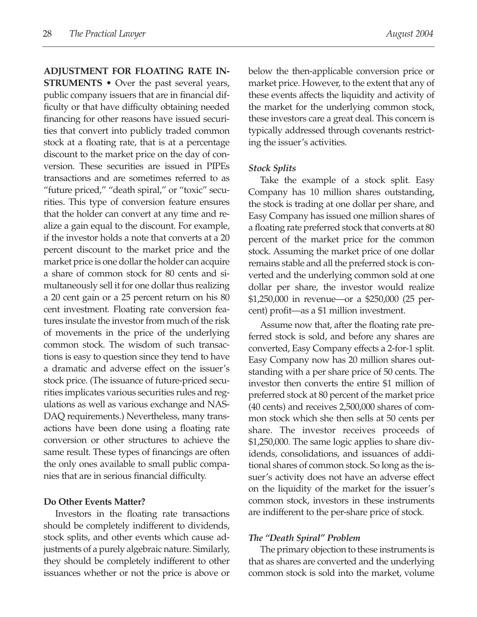**ADJUSTMENT FOR FLOATING RATE IN-STRUMENTS** • Over the past several years, public company issuers that are in financial difficulty or that have difficulty obtaining needed financing for other reasons have issued securities that convert into publicly traded common stock at a floating rate, that is at a percentage discount to the market price on the day of conversion. These securities are issued in PIPEs transactions and are sometimes referred to as "future priced," "death spiral," or "toxic" securities. This type of conversion feature ensures that the holder can convert at any time and realize a gain equal to the discount. For example, if the investor holds a note that converts at a 20 percent discount to the market price and the market price is one dollar the holder can acquire a share of common stock for 80 cents and simultaneously sell it for one dollar thus realizing a 20 cent gain or a 25 percent return on his 80 cent investment. Floating rate conversion features insulate the investor from much of the risk of movements in the price of the underlying common stock. The wisdom of such transactions is easy to question since they tend to have a dramatic and adverse effect on the issuer's stock price. (The issuance of future-priced securities implicates various securities rules and regulations as well as various exchange and NAS-DAQ requirements.) Nevertheless, many transactions have been done using a floating rate conversion or other structures to achieve the same result. These types of financings are often the only ones available to small public companies that are in serious financial difficulty.

#### **Do Other Events Matter?**

Investors in the floating rate transactions should be completely indifferent to dividends, stock splits, and other events which cause adjustments of a purely algebraic nature. Similarly, they should be completely indifferent to other issuances whether or not the price is above or below the then-applicable conversion price or market price. However, to the extent that any of these events affects the liquidity and activity of the market for the underlying common stock, these investors care a great deal. This concern is typically addressed through covenants restricting the issuer's activities.

#### *Stock Splits*

Take the example of a stock split. Easy Company has 10 million shares outstanding, the stock is trading at one dollar per share, and Easy Company has issued one million shares of a floating rate preferred stock that converts at 80 percent of the market price for the common stock. Assuming the market price of one dollar remains stable and all the preferred stock is converted and the underlying common sold at one dollar per share, the investor would realize \$1,250,000 in revenue—or a \$250,000 (25 percent) profit—as a \$1 million investment.

Assume now that, after the floating rate preferred stock is sold, and before any shares are converted, Easy Company effects a 2-for-1 split. Easy Company now has 20 million shares outstanding with a per share price of 50 cents. The investor then converts the entire \$1 million of preferred stock at 80 percent of the market price (40 cents) and receives 2,500,000 shares of common stock which she then sells at 50 cents per share. The investor receives proceeds of \$1,250,000. The same logic applies to share dividends, consolidations, and issuances of additional shares of common stock. So long as the issuer's activity does not have an adverse effect on the liquidity of the market for the issuer's common stock, investors in these instruments are indifferent to the per-share price of stock.

#### *The "Death Spiral" Problem*

The primary objection to these instruments is that as shares are converted and the underlying common stock is sold into the market, volume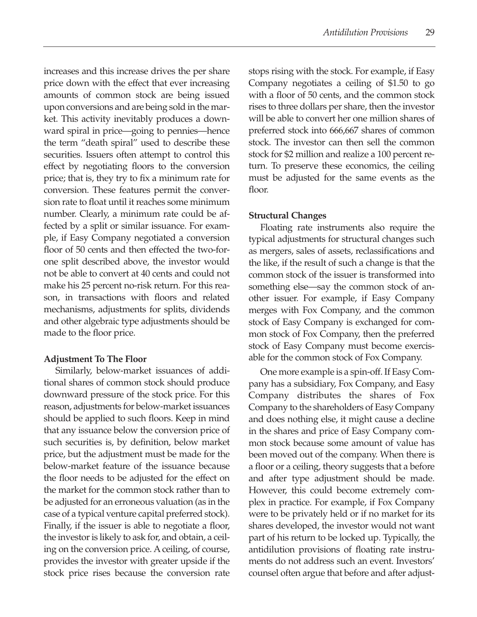increases and this increase drives the per share price down with the effect that ever increasing amounts of common stock are being issued upon conversions and are being sold in the market. This activity inevitably produces a downward spiral in price—going to pennies—hence the term "death spiral" used to describe these securities. Issuers often attempt to control this effect by negotiating floors to the conversion price; that is, they try to fix a minimum rate for conversion. These features permit the conversion rate to float until it reaches some minimum number. Clearly, a minimum rate could be affected by a split or similar issuance. For example, if Easy Company negotiated a conversion floor of 50 cents and then effected the two-forone split described above, the investor would not be able to convert at 40 cents and could not make his 25 percent no-risk return. For this reason, in transactions with floors and related mechanisms, adjustments for splits, dividends and other algebraic type adjustments should be made to the floor price.

# **Adjustment To The Floor**

Similarly, below-market issuances of additional shares of common stock should produce downward pressure of the stock price. For this reason, adjustments for below-market issuances should be applied to such floors. Keep in mind that any issuance below the conversion price of such securities is, by definition, below market price, but the adjustment must be made for the below-market feature of the issuance because the floor needs to be adjusted for the effect on the market for the common stock rather than to be adjusted for an erroneous valuation (as in the case of a typical venture capital preferred stock). Finally, if the issuer is able to negotiate a floor, the investor is likely to ask for, and obtain, a ceiling on the conversion price. A ceiling, of course, provides the investor with greater upside if the stock price rises because the conversion rate stops rising with the stock. For example, if Easy Company negotiates a ceiling of \$1.50 to go with a floor of 50 cents, and the common stock rises to three dollars per share, then the investor will be able to convert her one million shares of preferred stock into 666,667 shares of common stock. The investor can then sell the common stock for \$2 million and realize a 100 percent return. To preserve these economics, the ceiling must be adjusted for the same events as the floor.

# **Structural Changes**

Floating rate instruments also require the typical adjustments for structural changes such as mergers, sales of assets, reclassifications and the like, if the result of such a change is that the common stock of the issuer is transformed into something else—say the common stock of another issuer. For example, if Easy Company merges with Fox Company, and the common stock of Easy Company is exchanged for common stock of Fox Company, then the preferred stock of Easy Company must become exercisable for the common stock of Fox Company.

One more example is a spin-off. If Easy Company has a subsidiary, Fox Company, and Easy Company distributes the shares of Fox Company to the shareholders of Easy Company and does nothing else, it might cause a decline in the shares and price of Easy Company common stock because some amount of value has been moved out of the company. When there is a floor or a ceiling, theory suggests that a before and after type adjustment should be made. However, this could become extremely complex in practice. For example, if Fox Company were to be privately held or if no market for its shares developed, the investor would not want part of his return to be locked up. Typically, the antidilution provisions of floating rate instruments do not address such an event. Investors' counsel often argue that before and after adjust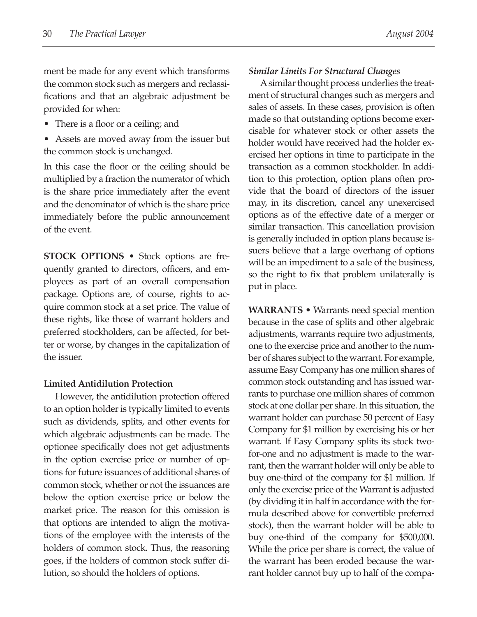ment be made for any event which transforms the common stock such as mergers and reclassifications and that an algebraic adjustment be provided for when:

- There is a floor or a ceiling; and
- Assets are moved away from the issuer but the common stock is unchanged.

In this case the floor or the ceiling should be multiplied by a fraction the numerator of which is the share price immediately after the event and the denominator of which is the share price immediately before the public announcement of the event.

**STOCK OPTIONS •** Stock options are frequently granted to directors, officers, and employees as part of an overall compensation package. Options are, of course, rights to acquire common stock at a set price. The value of these rights, like those of warrant holders and preferred stockholders, can be affected, for better or worse, by changes in the capitalization of the issuer.

#### **Limited Antidilution Protection**

However, the antidilution protection offered to an option holder is typically limited to events such as dividends, splits, and other events for which algebraic adjustments can be made. The optionee specifically does not get adjustments in the option exercise price or number of options for future issuances of additional shares of common stock, whether or not the issuances are below the option exercise price or below the market price. The reason for this omission is that options are intended to align the motivations of the employee with the interests of the holders of common stock. Thus, the reasoning goes, if the holders of common stock suffer dilution, so should the holders of options.

#### *Similar Limits For Structural Changes*

Asimilar thought process underlies the treatment of structural changes such as mergers and sales of assets. In these cases, provision is often made so that outstanding options become exercisable for whatever stock or other assets the holder would have received had the holder exercised her options in time to participate in the transaction as a common stockholder. In addition to this protection, option plans often provide that the board of directors of the issuer may, in its discretion, cancel any unexercised options as of the effective date of a merger or similar transaction. This cancellation provision is generally included in option plans because issuers believe that a large overhang of options will be an impediment to a sale of the business, so the right to fix that problem unilaterally is put in place.

**WARRANTS** • Warrants need special mention because in the case of splits and other algebraic adjustments, warrants require two adjustments, one to the exercise price and another to the number of shares subject to the warrant. For example, assume Easy Company has one million shares of common stock outstanding and has issued warrants to purchase one million shares of common stock at one dollar per share. In this situation, the warrant holder can purchase 50 percent of Easy Company for \$1 million by exercising his or her warrant. If Easy Company splits its stock twofor-one and no adjustment is made to the warrant, then the warrant holder will only be able to buy one-third of the company for \$1 million. If only the exercise price of the Warrant is adjusted (by dividing it in half in accordance with the formula described above for convertible preferred stock), then the warrant holder will be able to buy one-third of the company for \$500,000. While the price per share is correct, the value of the warrant has been eroded because the warrant holder cannot buy up to half of the compa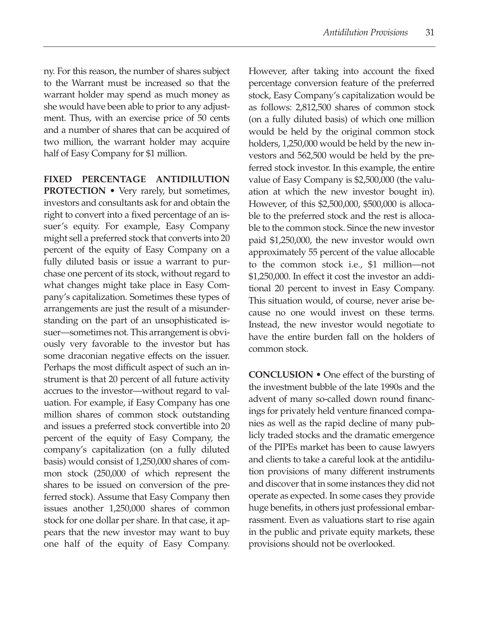ny. For this reason, the number of shares subject to the Warrant must be increased so that the warrant holder may spend as much money as she would have been able to prior to any adjustment. Thus, with an exercise price of 50 cents and a number of shares that can be acquired of two million, the warrant holder may acquire half of Easy Company for \$1 million.

**FIXED PERCENTAGE ANTIDILUTION**

**PROTECTION •** Very rarely, but sometimes, investors and consultants ask for and obtain the right to convert into a fixed percentage of an issuer's equity. For example, Easy Company might sell a preferred stock that converts into 20 percent of the equity of Easy Company on a fully diluted basis or issue a warrant to purchase one percent of its stock, without regard to what changes might take place in Easy Company's capitalization. Sometimes these types of arrangements are just the result of a misunderstanding on the part of an unsophisticated issuer—sometimes not. This arrangement is obviously very favorable to the investor but has some draconian negative effects on the issuer. Perhaps the most difficult aspect of such an instrument is that 20 percent of all future activity accrues to the investor—without regard to valuation. For example, if Easy Company has one million shares of common stock outstanding and issues a preferred stock convertible into 20 percent of the equity of Easy Company, the company's capitalization (on a fully diluted basis) would consist of 1,250,000 shares of common stock (250,000 of which represent the shares to be issued on conversion of the preferred stock). Assume that Easy Company then issues another 1,250,000 shares of common stock for one dollar per share. In that case, it appears that the new investor may want to buy one half of the equity of Easy Company.

However, after taking into account the fixed percentage conversion feature of the preferred stock, Easy Company's capitalization would be as follows: 2,812,500 shares of common stock (on a fully diluted basis) of which one million would be held by the original common stock holders, 1,250,000 would be held by the new investors and 562,500 would be held by the preferred stock investor. In this example, the entire value of Easy Company is \$2,500,000 (the valuation at which the new investor bought in). However, of this \$2,500,000, \$500,000 is allocable to the preferred stock and the rest is allocable to the common stock. Since the new investor paid \$1,250,000, the new investor would own approximately 55 percent of the value allocable to the common stock i.e., \$1 million—not \$1,250,000. In effect it cost the investor an additional 20 percent to invest in Easy Company. This situation would, of course, never arise because no one would invest on these terms. Instead, the new investor would negotiate to have the entire burden fall on the holders of common stock.

**CONCLUSION •** One effect of the bursting of the investment bubble of the late 1990s and the advent of many so-called down round financings for privately held venture financed companies as well as the rapid decline of many publicly traded stocks and the dramatic emergence of the PIPEs market has been to cause lawyers and clients to take a careful look at the antidilution provisions of many different instruments and discover that in some instances they did not operate as expected. In some cases they provide huge benefits, in others just professional embarrassment. Even as valuations start to rise again in the public and private equity markets, these provisions should not be overlooked.